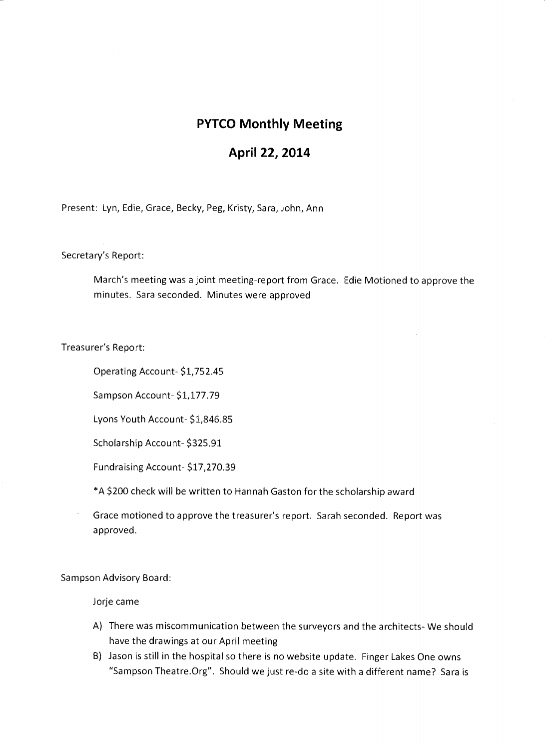## **PYTCO Monthly Meeting**

## **April 22, 2014**

Present: Lyn, Edie, Grace, Becky, Peg, Kristy, Sara, John, Ann

Secretary's Report:

March's meeting was a joint meeting-report from Grace. Edie Motioned to approve the minutes. Sara seconded. Minutes were approved

Treasurer's Report:

Operating Account- \$1,752.45

Sampson Account- \$1,177.79

Lyons Youth Account- \$1,846.85

Scholarship Account- \$325.91

Fundraising Account- \$17,270.39

\*A \$200 check will be written to Hannah Gaston for the scholarship award

Grace motioned to approve the treasurer's report. Sarah seconded. Report was approved.

Sampson Advisory Board:

Jorje came

- A) There was miscommunication between the surveyors and the architects- We should have the drawings at our April meeting
- B) Jason is still in the hospital so there is no website update. Finger Lakes One owns "Sampson Theatre.Org". Should we just re-do a site with a different name? Sara is